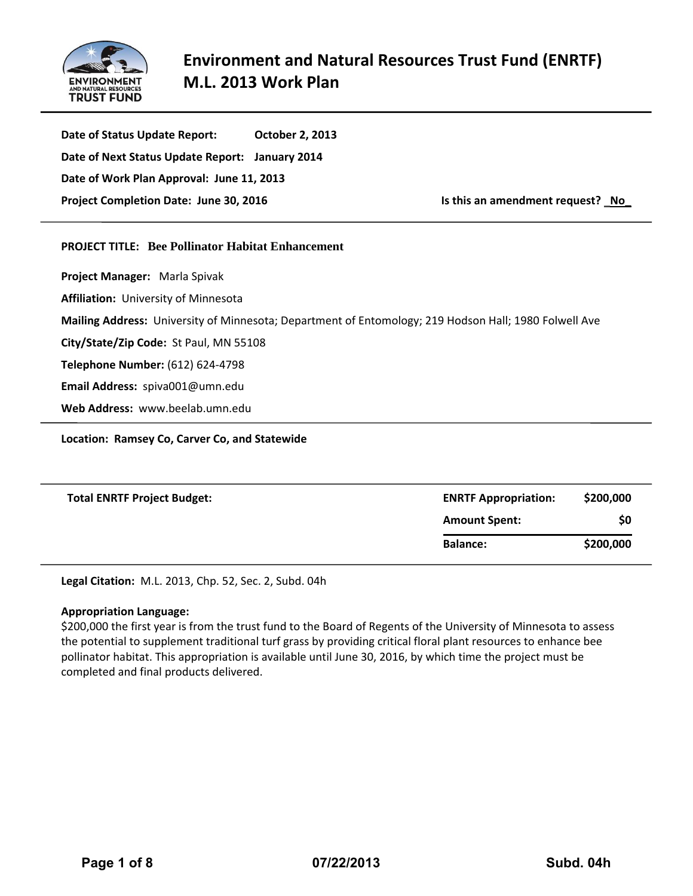

**Date of Status Update Report: October 2, 2013 Date of Next Status Update Report: January 2014 Date of Work Plan Approval: June 11, 2013 Project Completion Date: June 30, 2016 Is this an amendment request?** \_**No\_**

# **PROJECT TITLE: Bee Pollinator Habitat Enhancement**

**Project Manager:** Marla Spivak **Affiliation:** University of Minnesota **Mailing Address:** University of Minnesota; Department of Entomology; 219 Hodson Hall; 1980 Folwell Ave **City/State/Zip Code:** St Paul, MN 55108 **Telephone Number:** (612) 624-4798 **Email Address:** spiva001@umn.edu **Web Address:** www.beelab.umn.edu

**Location: Ramsey Co, Carver Co, and Statewide** 

| <b>Total ENRTF Project Budget:</b> | <b>ENRTF Appropriation:</b> | \$200,000 |
|------------------------------------|-----------------------------|-----------|
|                                    | <b>Amount Spent:</b>        | \$0       |
|                                    | <b>Balance:</b>             | \$200,000 |

**Legal Citation:** M.L. 2013, Chp. 52, Sec. 2, Subd. 04h

# **Appropriation Language:**

\$200,000 the first year is from the trust fund to the Board of Regents of the University of Minnesota to assess the potential to supplement traditional turf grass by providing critical floral plant resources to enhance bee pollinator habitat. This appropriation is available until June 30, 2016, by which time the project must be completed and final products delivered.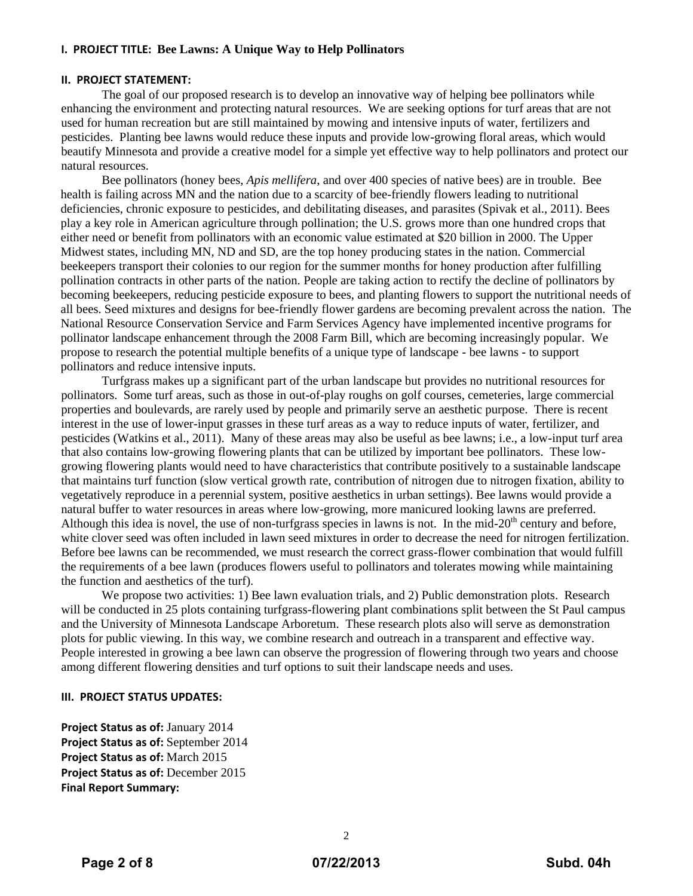# **I. PROJECT TITLE: Bee Lawns: A Unique Way to Help Pollinators**

#### **II. PROJECT STATEMENT:**

 The goal of our proposed research is to develop an innovative way of helping bee pollinators while enhancing the environment and protecting natural resources. We are seeking options for turf areas that are not used for human recreation but are still maintained by mowing and intensive inputs of water, fertilizers and pesticides. Planting bee lawns would reduce these inputs and provide low-growing floral areas, which would beautify Minnesota and provide a creative model for a simple yet effective way to help pollinators and protect our natural resources.

Bee pollinators (honey bees, *Apis mellifera*, and over 400 species of native bees) are in trouble. Bee health is failing across MN and the nation due to a scarcity of bee-friendly flowers leading to nutritional deficiencies, chronic exposure to pesticides, and debilitating diseases, and parasites (Spivak et al., 2011). Bees play a key role in American agriculture through pollination; the U.S. grows more than one hundred crops that either need or benefit from pollinators with an economic value estimated at \$20 billion in 2000. The Upper Midwest states, including MN, ND and SD, are the top honey producing states in the nation. Commercial beekeepers transport their colonies to our region for the summer months for honey production after fulfilling pollination contracts in other parts of the nation. People are taking action to rectify the decline of pollinators by becoming beekeepers, reducing pesticide exposure to bees, and planting flowers to support the nutritional needs of all bees. Seed mixtures and designs for bee-friendly flower gardens are becoming prevalent across the nation. The National Resource Conservation Service and Farm Services Agency have implemented incentive programs for pollinator landscape enhancement through the 2008 Farm Bill, which are becoming increasingly popular. We propose to research the potential multiple benefits of a unique type of landscape - bee lawns - to support pollinators and reduce intensive inputs.

Turfgrass makes up a significant part of the urban landscape but provides no nutritional resources for pollinators. Some turf areas, such as those in out-of-play roughs on golf courses, cemeteries, large commercial properties and boulevards, are rarely used by people and primarily serve an aesthetic purpose. There is recent interest in the use of lower-input grasses in these turf areas as a way to reduce inputs of water, fertilizer, and pesticides (Watkins et al., 2011). Many of these areas may also be useful as bee lawns; i.e., a low-input turf area that also contains low-growing flowering plants that can be utilized by important bee pollinators. These lowgrowing flowering plants would need to have characteristics that contribute positively to a sustainable landscape that maintains turf function (slow vertical growth rate, contribution of nitrogen due to nitrogen fixation, ability to vegetatively reproduce in a perennial system, positive aesthetics in urban settings). Bee lawns would provide a natural buffer to water resources in areas where low-growing, more manicured looking lawns are preferred. Although this idea is novel, the use of non-turfgrass species in lawns is not. In the mid- $20<sup>th</sup>$  century and before, white clover seed was often included in lawn seed mixtures in order to decrease the need for nitrogen fertilization. Before bee lawns can be recommended, we must research the correct grass-flower combination that would fulfill the requirements of a bee lawn (produces flowers useful to pollinators and tolerates mowing while maintaining the function and aesthetics of the turf).

We propose two activities: 1) Bee lawn evaluation trials, and 2) Public demonstration plots. Research will be conducted in 25 plots containing turfgrass-flowering plant combinations split between the St Paul campus and the University of Minnesota Landscape Arboretum. These research plots also will serve as demonstration plots for public viewing. In this way, we combine research and outreach in a transparent and effective way. People interested in growing a bee lawn can observe the progression of flowering through two years and choose among different flowering densities and turf options to suit their landscape needs and uses.

# **III. PROJECT STATUS UPDATES:**

**Project Status as of:** January 2014 **Project Status as of:** September 2014 **Project Status as of:** March 2015 **Project Status as of:** December 2015 **Final Report Summary:**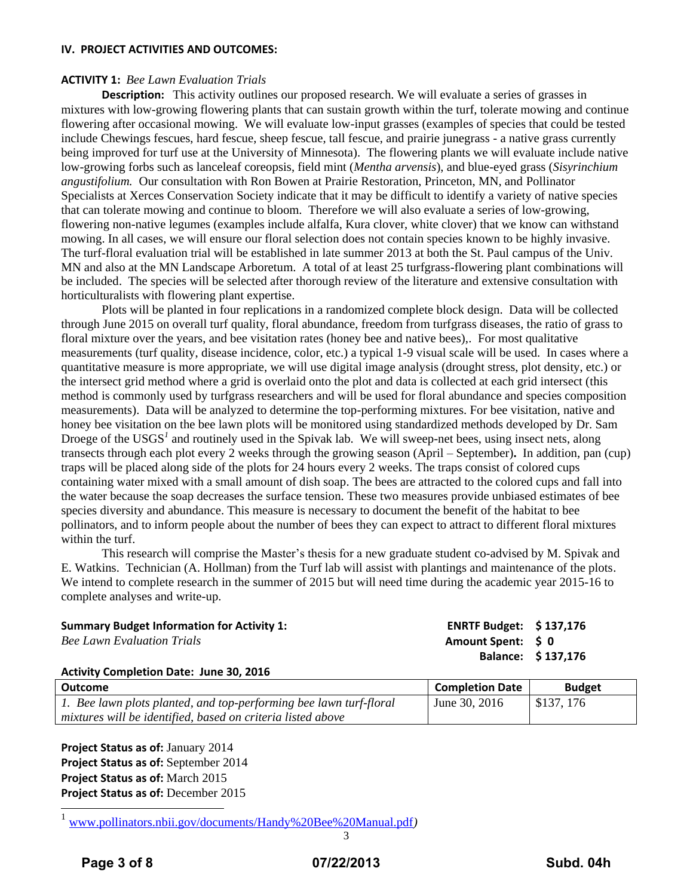### **IV. PROJECT ACTIVITIES AND OUTCOMES:**

### **ACTIVITY 1:** *Bee Lawn Evaluation Trials*

**Description:** This activity outlines our proposed research. We will evaluate a series of grasses in mixtures with low-growing flowering plants that can sustain growth within the turf, tolerate mowing and continue flowering after occasional mowing. We will evaluate low-input grasses (examples of species that could be tested include Chewings fescues, hard fescue, sheep fescue, tall fescue, and prairie junegrass - a native grass currently being improved for turf use at the University of Minnesota). The flowering plants we will evaluate include native low-growing forbs such as lanceleaf coreopsis, field mint (*Mentha arvensis*), and blue-eyed grass (*Sisyrinchium angustifolium.* Our consultation with Ron Bowen at Prairie Restoration, Princeton, MN, and Pollinator Specialists at Xerces Conservation Society indicate that it may be difficult to identify a variety of native species that can tolerate mowing and continue to bloom. Therefore we will also evaluate a series of low-growing, flowering non-native legumes (examples include alfalfa, Kura clover, white clover) that we know can withstand mowing. In all cases, we will ensure our floral selection does not contain species known to be highly invasive. The turf-floral evaluation trial will be established in late summer 2013 at both the St. Paul campus of the Univ. MN and also at the MN Landscape Arboretum. A total of at least 25 turfgrass-flowering plant combinations will be included. The species will be selected after thorough review of the literature and extensive consultation with horticulturalists with flowering plant expertise.

Plots will be planted in four replications in a randomized complete block design. Data will be collected through June 2015 on overall turf quality, floral abundance, freedom from turfgrass diseases, the ratio of grass to floral mixture over the years, and bee visitation rates (honey bee and native bees),. For most qualitative measurements (turf quality, disease incidence, color, etc.) a typical 1-9 visual scale will be used. In cases where a quantitative measure is more appropriate, we will use digital image analysis (drought stress, plot density, etc.) or the intersect grid method where a grid is overlaid onto the plot and data is collected at each grid intersect (this method is commonly used by turfgrass researchers and will be used for floral abundance and species composition measurements). Data will be analyzed to determine the top-performing mixtures. For bee visitation, native and honey bee visitation on the bee lawn plots will be monitored using standardized methods developed by Dr. Sam Droege of the USGS<sup>1</sup> and routinely used in the Spivak lab. We will sweep-net bees, using insect nets, along transects through each plot every 2 weeks through the growing season (April – September)**.** In addition, pan (cup) traps will be placed along side of the plots for 24 hours every 2 weeks. The traps consist of colored cups containing water mixed with a small amount of dish soap. The bees are attracted to the colored cups and fall into the water because the soap decreases the surface tension. These two measures provide unbiased estimates of bee species diversity and abundance. This measure is necessary to document the benefit of the habitat to bee pollinators, and to inform people about the number of bees they can expect to attract to different floral mixtures within the turf.

This research will comprise the Master's thesis for a new graduate student co-advised by M. Spivak and E. Watkins. Technician (A. Hollman) from the Turf lab will assist with plantings and maintenance of the plots. We intend to complete research in the summer of 2015 but will need time during the academic year 2015-16 to complete analyses and write-up.

| <b>Summary Budget Information for Activity 1:</b> | ENRTF Budget: $$137,176$ |                    |
|---------------------------------------------------|--------------------------|--------------------|
| <b>Bee Lawn Evaluation Trials</b>                 | Amount Spent: S 0        |                    |
|                                                   |                          | Balance: \$137,176 |

### **Activity Completion Date: June 30, 2016**

| Outcome                                                            | <b>Completion Date</b> | <b>Budget</b> |
|--------------------------------------------------------------------|------------------------|---------------|
| 1. Bee lawn plots planted, and top-performing bee lawn turf-floral | June 30, $2016$        | l \$137.176   |
| mixtures will be identified, based on criteria listed above        |                        |               |

**Project Status as of:** January 2014 **Project Status as of:** September 2014 **Project Status as of:** March 2015 **Project Status as of:** December 2015

<sup>1</sup> [www.pollinators.nbii.gov/documents/Handy%20Bee%20Manual.pdf](http://www.pollinators.nbii.gov/documents/Handy%20Bee%20Manual.pdf)*)*

 $\overline{a}$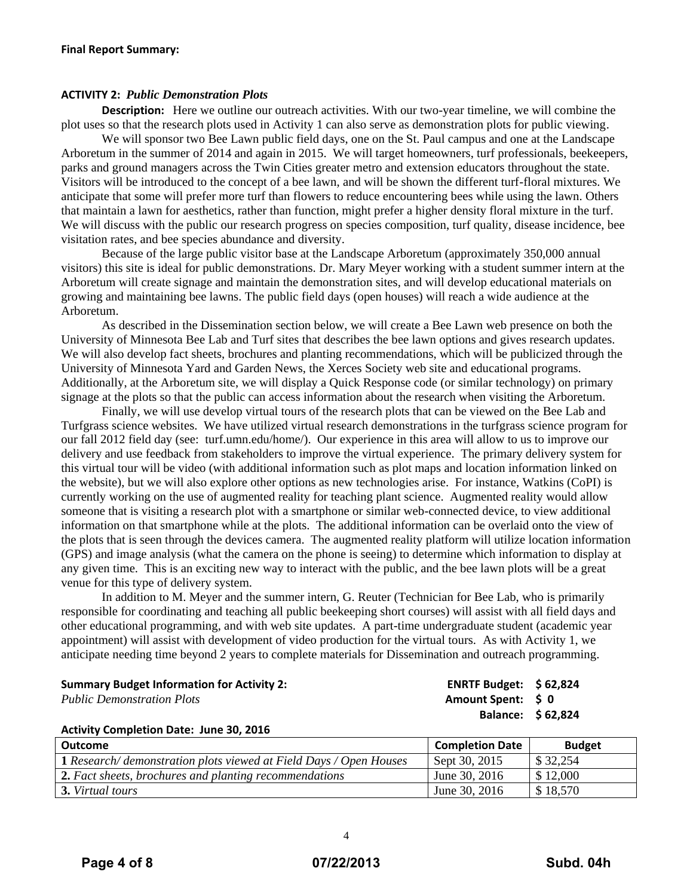### **ACTIVITY 2:** *Public Demonstration Plots*

**Description:** Here we outline our outreach activities. With our two-year timeline, we will combine the plot uses so that the research plots used in Activity 1 can also serve as demonstration plots for public viewing.

 We will sponsor two Bee Lawn public field days, one on the St. Paul campus and one at the Landscape Arboretum in the summer of 2014 and again in 2015. We will target homeowners, turf professionals, beekeepers, parks and ground managers across the Twin Cities greater metro and extension educators throughout the state. Visitors will be introduced to the concept of a bee lawn, and will be shown the different turf-floral mixtures. We anticipate that some will prefer more turf than flowers to reduce encountering bees while using the lawn. Others that maintain a lawn for aesthetics, rather than function, might prefer a higher density floral mixture in the turf. We will discuss with the public our research progress on species composition, turf quality, disease incidence, bee visitation rates, and bee species abundance and diversity.

Because of the large public visitor base at the Landscape Arboretum (approximately 350,000 annual visitors) this site is ideal for public demonstrations. Dr. Mary Meyer working with a student summer intern at the Arboretum will create signage and maintain the demonstration sites, and will develop educational materials on growing and maintaining bee lawns. The public field days (open houses) will reach a wide audience at the Arboretum.

As described in the Dissemination section below, we will create a Bee Lawn web presence on both the University of Minnesota Bee Lab and Turf sites that describes the bee lawn options and gives research updates. We will also develop fact sheets, brochures and planting recommendations, which will be publicized through the University of Minnesota Yard and Garden News, the Xerces Society web site and educational programs. Additionally, at the Arboretum site, we will display a Quick Response code (or similar technology) on primary signage at the plots so that the public can access information about the research when visiting the Arboretum.

Finally, we will use develop virtual tours of the research plots that can be viewed on the Bee Lab and Turfgrass science websites. We have utilized virtual research demonstrations in the turfgrass science program for our fall 2012 field day (see: turf.umn.edu/home/). Our experience in this area will allow to us to improve our delivery and use feedback from stakeholders to improve the virtual experience. The primary delivery system for this virtual tour will be video (with additional information such as plot maps and location information linked on the website), but we will also explore other options as new technologies arise. For instance, Watkins (CoPI) is currently working on the use of augmented reality for teaching plant science. Augmented reality would allow someone that is visiting a research plot with a smartphone or similar web-connected device, to view additional information on that smartphone while at the plots. The additional information can be overlaid onto the view of the plots that is seen through the devices camera. The augmented reality platform will utilize location information (GPS) and image analysis (what the camera on the phone is seeing) to determine which information to display at any given time. This is an exciting new way to interact with the public, and the bee lawn plots will be a great venue for this type of delivery system.

In addition to M. Meyer and the summer intern, G. Reuter (Technician for Bee Lab, who is primarily responsible for coordinating and teaching all public beekeeping short courses) will assist with all field days and other educational programming, and with web site updates. A part-time undergraduate student (academic year appointment) will assist with development of video production for the virtual tours. As with Activity 1, we anticipate needing time beyond 2 years to complete materials for Dissemination and outreach programming.

**Summary Budget Information for Activity 2: ENRTF Budget: \$ 62,824** *Public Demonstration Plots* **Amount Spent: \$ 0 Balance: \$ 62,824**

### **Activity Completion Date: June 30, 2016**

| Outcome                                                                   | <b>Completion Date</b> | <b>Budget</b> |
|---------------------------------------------------------------------------|------------------------|---------------|
| <b>1</b> Research/ demonstration plots viewed at Field Days / Open Houses | Sept 30, 2015          | \$32,254      |
| 2. Fact sheets, brochures and planting recommendations                    | June 30, 2016          | \$12,000      |
| 3. Virtual tours                                                          | June 30, 2016          | \$18,570      |

4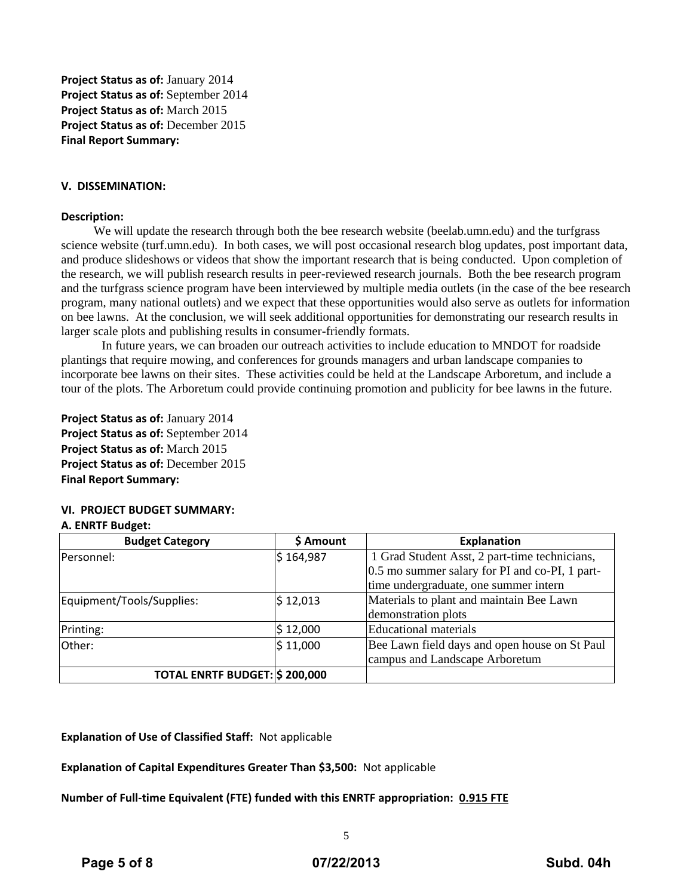**Project Status as of:** January 2014 **Project Status as of:** September 2014 **Project Status as of:** March 2015 **Project Status as of:** December 2015 **Final Report Summary:**

### **V. DISSEMINATION:**

#### **Description:**

We will update the research through both the bee research website (beelab.umn.edu) and the turfgrass science website (turf.umn.edu). In both cases, we will post occasional research blog updates, post important data, and produce slideshows or videos that show the important research that is being conducted. Upon completion of the research, we will publish research results in peer-reviewed research journals. Both the bee research program and the turfgrass science program have been interviewed by multiple media outlets (in the case of the bee research program, many national outlets) and we expect that these opportunities would also serve as outlets for information on bee lawns. At the conclusion, we will seek additional opportunities for demonstrating our research results in larger scale plots and publishing results in consumer-friendly formats.

In future years, we can broaden our outreach activities to include education to MNDOT for roadside plantings that require mowing, and conferences for grounds managers and urban landscape companies to incorporate bee lawns on their sites. These activities could be held at the Landscape Arboretum, and include a tour of the plots. The Arboretum could provide continuing promotion and publicity for bee lawns in the future.

**Project Status as of:** January 2014 **Project Status as of:** September 2014 **Project Status as of:** March 2015 **Project Status as of:** December 2015 **Final Report Summary:**

### **VI. PROJECT BUDGET SUMMARY:**

### **A. ENRTF Budget:**

| <b>Budget Category</b>                | \$ Amount | <b>Explanation</b>                             |
|---------------------------------------|-----------|------------------------------------------------|
| Personnel:                            | \$164,987 | 1 Grad Student Asst, 2 part-time technicians,  |
|                                       |           | 0.5 mo summer salary for PI and co-PI, 1 part- |
|                                       |           | time undergraduate, one summer intern          |
| Equipment/Tools/Supplies:             | \$12,013  | Materials to plant and maintain Bee Lawn       |
|                                       |           | demonstration plots                            |
| Printing:                             | \$12,000  | Educational materials                          |
| Other:                                | \$11,000  | Bee Lawn field days and open house on St Paul  |
|                                       |           | campus and Landscape Arboretum                 |
| <b>TOTAL ENRTF BUDGET: \$ 200,000</b> |           |                                                |

**Explanation of Use of Classified Staff:** Not applicable

**Explanation of Capital Expenditures Greater Than \$3,500:** Not applicable

**Number of Full-time Equivalent (FTE) funded with this ENRTF appropriation: 0.915 FTE**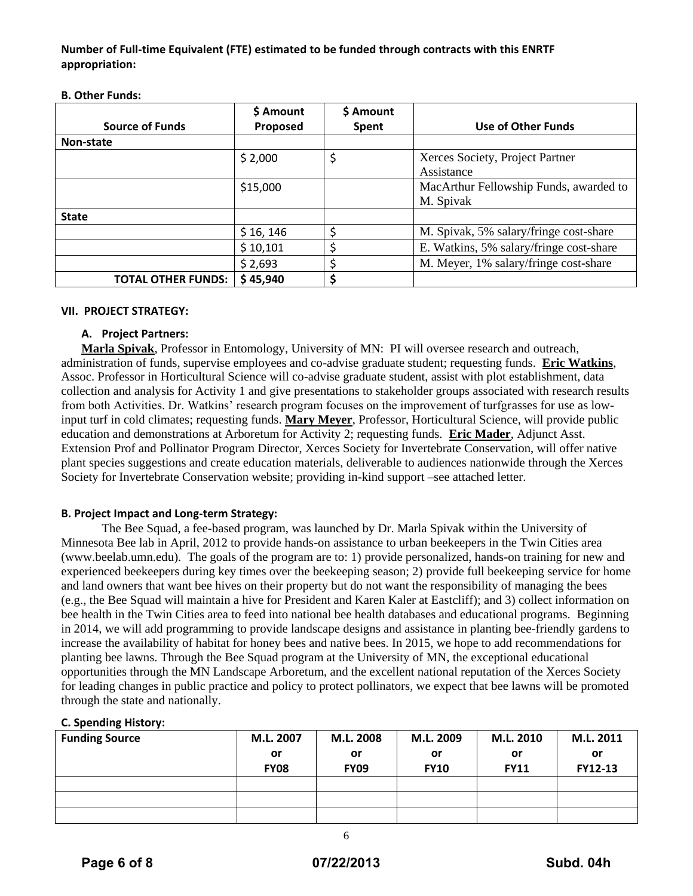**Number of Full-time Equivalent (FTE) estimated to be funded through contracts with this ENRTF appropriation:**

|                           | \$ Amount | \$ Amount |                                                     |
|---------------------------|-----------|-----------|-----------------------------------------------------|
| <b>Source of Funds</b>    | Proposed  | Spent     | Use of Other Funds                                  |
| Non-state                 |           |           |                                                     |
|                           | \$2,000   | \$        | Xerces Society, Project Partner<br>Assistance       |
|                           | \$15,000  |           | MacArthur Fellowship Funds, awarded to<br>M. Spivak |
| <b>State</b>              |           |           |                                                     |
|                           | \$16, 146 |           | M. Spivak, 5% salary/fringe cost-share              |
|                           | \$10,101  |           | E. Watkins, 5% salary/fringe cost-share             |
|                           | \$2,693   |           | M. Meyer, 1% salary/fringe cost-share               |
| <b>TOTAL OTHER FUNDS:</b> | \$45,940  |           |                                                     |

#### **B. Other Funds:**

### **VII. PROJECT STRATEGY:**

### **A. Project Partners:**

**Marla Spivak**, Professor in Entomology, University of MN: PI will oversee research and outreach, administration of funds, supervise employees and co-advise graduate student; requesting funds. **Eric Watkins**, Assoc. Professor in Horticultural Science will co-advise graduate student, assist with plot establishment, data collection and analysis for Activity 1 and give presentations to stakeholder groups associated with research results from both Activities. Dr. Watkins' research program focuses on the improvement of turfgrasses for use as lowinput turf in cold climates; requesting funds. **Mary Meyer**, Professor, Horticultural Science, will provide public education and demonstrations at Arboretum for Activity 2; requesting funds. **Eric Mader**, Adjunct Asst. Extension Prof and Pollinator Program Director, Xerces Society for Invertebrate Conservation, will offer native plant species suggestions and create education materials, deliverable to audiences nationwide through the Xerces Society for Invertebrate Conservation website; providing in-kind support –see attached letter.

### **B. Project Impact and Long-term Strategy:**

The Bee Squad, a fee-based program, was launched by Dr. Marla Spivak within the University of Minnesota Bee lab in April, 2012 to provide hands-on assistance to urban beekeepers in the Twin Cities area (www.beelab.umn.edu). The goals of the program are to: 1) provide personalized, hands-on training for new and experienced beekeepers during key times over the beekeeping season; 2) provide full beekeeping service for home and land owners that want bee hives on their property but do not want the responsibility of managing the bees (e.g., the Bee Squad will maintain a hive for President and Karen Kaler at Eastcliff); and 3) collect information on bee health in the Twin Cities area to feed into national bee health databases and educational programs. Beginning in 2014, we will add programming to provide landscape designs and assistance in planting bee-friendly gardens to increase the availability of habitat for honey bees and native bees. In 2015, we hope to add recommendations for planting bee lawns. Through the Bee Squad program at the University of MN, the exceptional educational opportunities through the MN Landscape Arboretum, and the excellent national reputation of the Xerces Society for leading changes in public practice and policy to protect pollinators, we expect that bee lawns will be promoted through the state and nationally.

### **C. Spending History:**

| <b>Funding Source</b> | M.L. 2007   | M.L. 2008   | M.L. 2009   | M.L. 2010   | M.L. 2011      |
|-----------------------|-------------|-------------|-------------|-------------|----------------|
|                       | or          | or          | or          | or          | or             |
|                       | <b>FY08</b> | <b>FY09</b> | <b>FY10</b> | <b>FY11</b> | <b>FY12-13</b> |
|                       |             |             |             |             |                |
|                       |             |             |             |             |                |
|                       |             |             |             |             |                |

6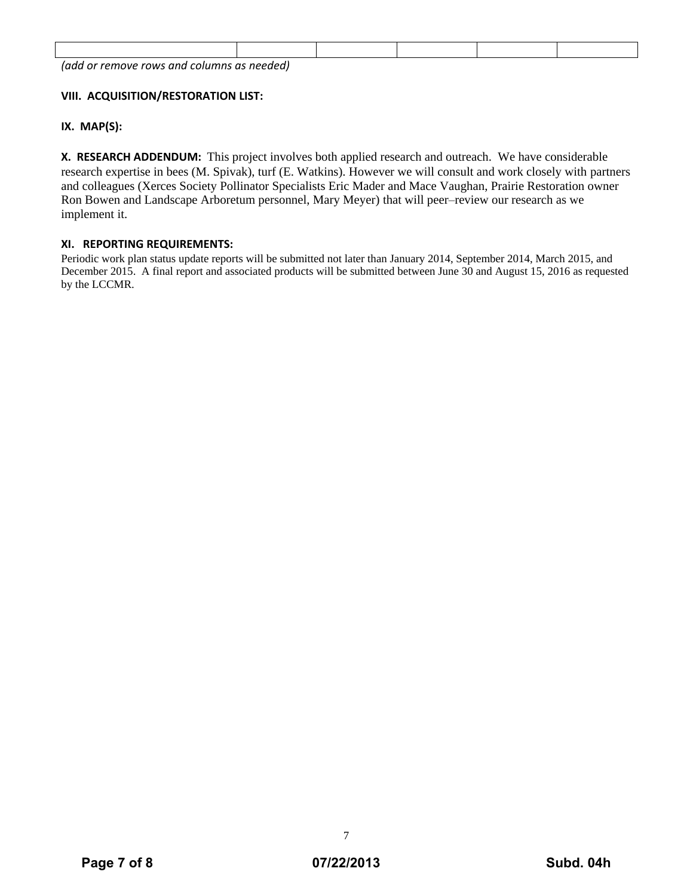| ladd<br>and i<br>remove<br>columns<br>rows<br>0r | as needed) |  |  |
|--------------------------------------------------|------------|--|--|

# **VIII. ACQUISITION/RESTORATION LIST:**

### **IX. MAP(S):**

**X. RESEARCH ADDENDUM:** This project involves both applied research and outreach. We have considerable research expertise in bees (M. Spivak), turf (E. Watkins). However we will consult and work closely with partners and colleagues (Xerces Society Pollinator Specialists Eric Mader and Mace Vaughan, Prairie Restoration owner Ron Bowen and Landscape Arboretum personnel, Mary Meyer) that will peer–review our research as we implement it.

### **XI. REPORTING REQUIREMENTS:**

Periodic work plan status update reports will be submitted not later than January 2014, September 2014, March 2015, and December 2015. A final report and associated products will be submitted between June 30 and August 15, 2016 as requested by the LCCMR.

7